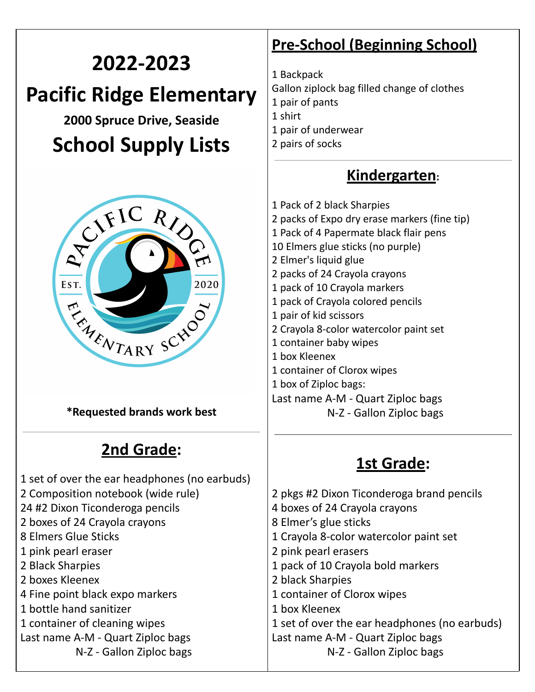# **2022-2023 Pacific Ridge Elementary Spruce Drive, Seaside**

# **School Supply Lists**



**\*Requested brands work best**

# **2nd Grade:**

 set of over the ear headphones (no earbuds) Composition notebook (wide rule) #2 Dixon Ticonderoga pencils boxes of 24 Crayola crayons Elmers Glue Sticks pink pearl eraser Black Sharpies boxes Kleenex Fine point black expo markers bottle hand sanitizer container of cleaning wipes Last name A-M - Quart Ziploc bags N-Z - Gallon Ziploc bags

- **Pre-School (Beginning School)**
- Backpack Gallon ziplock bag filled change of clothes pair of pants shirt pair of underwear pairs of socks

#### **Kindergarten:**

 Pack of 2 black Sharpies packs of Expo dry erase markers (fine tip) Pack of 4 Papermate black flair pens Elmers glue sticks (no purple) Elmer's liquid glue packs of 24 Crayola crayons pack of 10 Crayola markers pack of Crayola colored pencils pair of kid scissors Crayola 8-color watercolor paint set container baby wipes box Kleenex container of Clorox wipes box of Ziploc bags: Last name A-M - Quart Ziploc bags N-Z - Gallon Ziploc bags

# **1st Grade:**

 pkgs #2 Dixon Ticonderoga brand pencils boxes of 24 Crayola crayons Elmer's glue sticks Crayola 8-color watercolor paint set pink pearl erasers pack of 10 Crayola bold markers black Sharpies container of Clorox wipes box Kleenex set of over the ear headphones (no earbuds) Last name A-M - Quart Ziploc bags N-Z - Gallon Ziploc bags